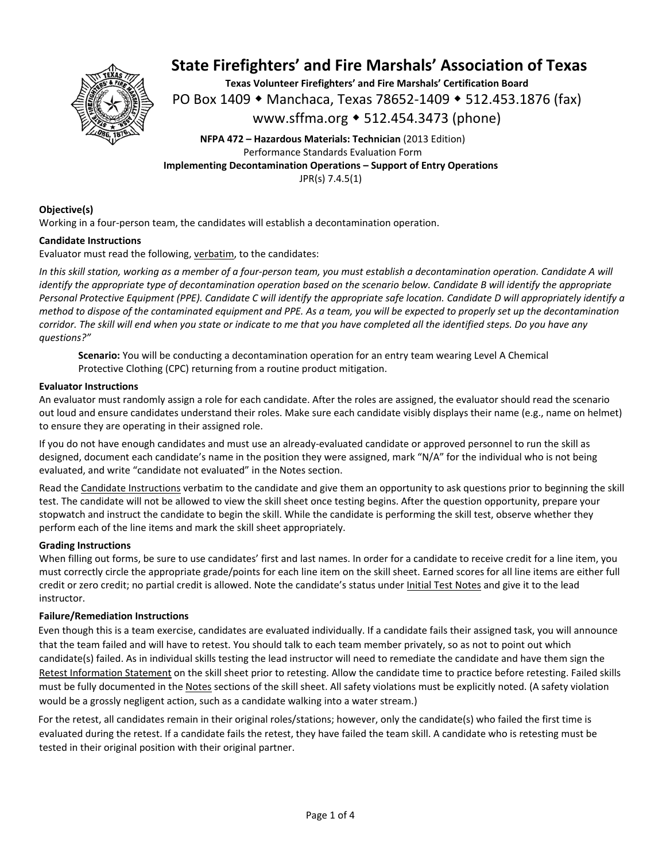

**Texas Volunteer Firefighters' and Fire Marshals' Certification Board**  PO Box 1409 ◆ Manchaca, Texas 78652-1409 ◆ 512.453.1876 (fax) www.sffma.org 512.454.3473 (phone)

**NFPA 472 – Hazardous Materials: Technician** (2013 Edition) Performance Standards Evaluation Form **Implementing Decontamination Operations – Support of Entry Operations**  JPR(s) 7.4.5(1)

### **Objective(s)**

Working in a four-person team, the candidates will establish a decontamination operation.

### **Candidate Instructions**

Evaluator must read the following, verbatim, to the candidates:

*In this skill station, working as a member of a four‐person team, you must establish a decontamination operation. Candidate A will identify the appropriate type of decontamination operation based on the scenario below. Candidate B will identify the appropriate Personal Protective Equipment (PPE). Candidate C will identify the appropriate safe location. Candidate D will appropriately identify a method to dispose of the contaminated equipment and PPE. As a team, you will be expected to properly set up the decontamination corridor. The skill will end when you state or indicate to me that you have completed all the identified steps. Do you have any questions?"* 

**Scenario:** You will be conducting a decontamination operation for an entry team wearing Level A Chemical Protective Clothing (CPC) returning from a routine product mitigation.

### **Evaluator Instructions**

An evaluator must randomly assign a role for each candidate. After the roles are assigned, the evaluator should read the scenario out loud and ensure candidates understand their roles. Make sure each candidate visibly displays their name (e.g., name on helmet) to ensure they are operating in their assigned role.

If you do not have enough candidates and must use an already‐evaluated candidate or approved personnel to run the skill as designed, document each candidate's name in the position they were assigned, mark "N/A" for the individual who is not being evaluated, and write "candidate not evaluated" in the Notes section.

Read the Candidate Instructions verbatim to the candidate and give them an opportunity to ask questions prior to beginning the skill test. The candidate will not be allowed to view the skill sheet once testing begins. After the question opportunity, prepare your stopwatch and instruct the candidate to begin the skill. While the candidate is performing the skill test, observe whether they perform each of the line items and mark the skill sheet appropriately.

### **Grading Instructions**

When filling out forms, be sure to use candidates' first and last names. In order for a candidate to receive credit for a line item, you must correctly circle the appropriate grade/points for each line item on the skill sheet. Earned scores for all line items are either full credit or zero credit; no partial credit is allowed. Note the candidate's status under Initial Test Notes and give it to the lead instructor.

### **Failure/Remediation Instructions**

Even though this is a team exercise, candidates are evaluated individually. If a candidate fails their assigned task, you will announce that the team failed and will have to retest. You should talk to each team member privately, so as not to point out which candidate(s) failed. As in individual skills testing the lead instructor will need to remediate the candidate and have them sign the Retest Information Statement on the skill sheet prior to retesting. Allow the candidate time to practice before retesting. Failed skills must be fully documented in the Notes sections of the skill sheet. All safety violations must be explicitly noted. (A safety violation would be a grossly negligent action, such as a candidate walking into a water stream.)

For the retest, all candidates remain in their original roles/stations; however, only the candidate(s) who failed the first time is evaluated during the retest. If a candidate fails the retest, they have failed the team skill. A candidate who is retesting must be tested in their original position with their original partner.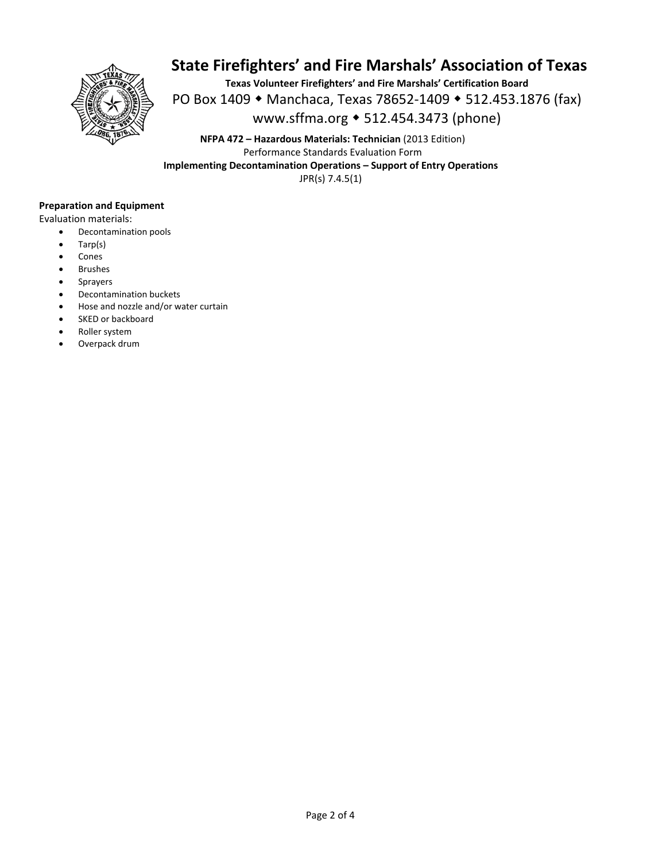

**Texas Volunteer Firefighters' and Fire Marshals' Certification Board**  PO Box 1409 ◆ Manchaca, Texas 78652-1409 ◆ 512.453.1876 (fax) www.sffma.org 512.454.3473 (phone)

**NFPA 472 – Hazardous Materials: Technician** (2013 Edition) Performance Standards Evaluation Form **Implementing Decontamination Operations – Support of Entry Operations**  JPR(s) 7.4.5(1)

### **Preparation and Equipment**

Evaluation materials:

- Decontamination pools
- Tarp(s)
- Cones
- Brushes
- Sprayers
- Decontamination buckets
- Hose and nozzle and/or water curtain
- SKED or backboard
- Roller system
- Overpack drum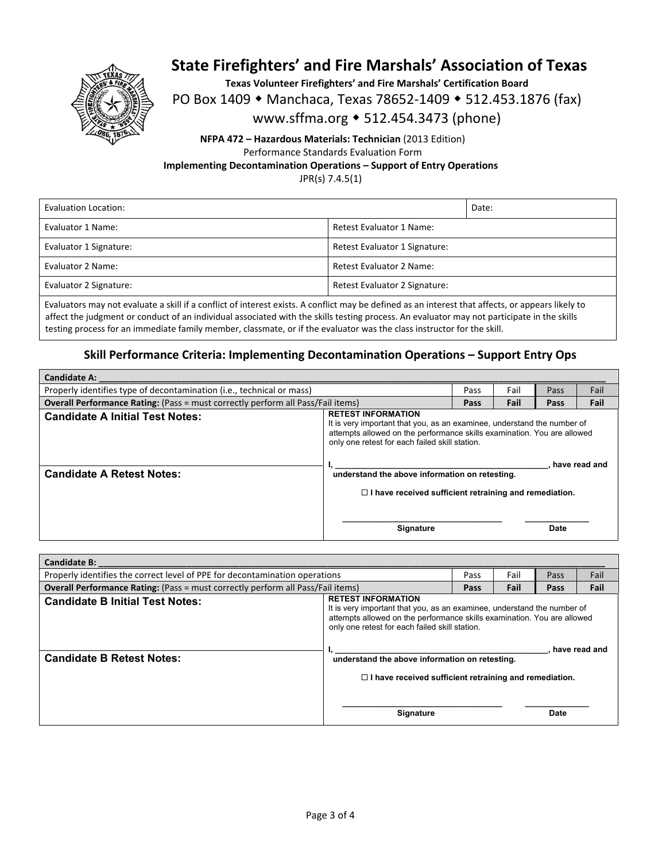

**Texas Volunteer Firefighters' and Fire Marshals' Certification Board** 

PO Box 1409 • Manchaca, Texas 78652-1409 • 512.453.1876 (fax)

www.sffma.org 512.454.3473 (phone)

### **NFPA 472 – Hazardous Materials: Technician** (2013 Edition) Performance Standards Evaluation Form **Implementing Decontamination Operations – Support of Entry Operations**

JPR(s) 7.4.5(1)

| Evaluation Location:   |                                 | Date: |
|------------------------|---------------------------------|-------|
| Evaluator 1 Name:      | Retest Evaluator 1 Name:        |       |
| Evaluator 1 Signature: | Retest Evaluator 1 Signature:   |       |
| Evaluator 2 Name:      | <b>Retest Evaluator 2 Name:</b> |       |
| Evaluator 2 Signature: | Retest Evaluator 2 Signature:   |       |
|                        |                                 |       |

Evaluators may not evaluate a skill if a conflict of interest exists. A conflict may be defined as an interest that affects, or appears likely to affect the judgment or conduct of an individual associated with the skills testing process. An evaluator may not participate in the skills testing process for an immediate family member, classmate, or if the evaluator was the class instructor for the skill.

### **Skill Performance Criteria: Implementing Decontamination Operations – Support Entry Ops**

| <b>Candidate A:</b>                                                                    |                                                                                                                                                                                                                                                                                     |      |      |      |               |
|----------------------------------------------------------------------------------------|-------------------------------------------------------------------------------------------------------------------------------------------------------------------------------------------------------------------------------------------------------------------------------------|------|------|------|---------------|
| Properly identifies type of decontamination (i.e., technical or mass)                  |                                                                                                                                                                                                                                                                                     | Pass | Fail | Pass | Fail          |
| <b>Overall Performance Rating:</b> (Pass = must correctly perform all Pass/Fail items) |                                                                                                                                                                                                                                                                                     | Pass | Fail | Pass | Fail          |
| <b>Candidate A Initial Test Notes:</b>                                                 | <b>RETEST INFORMATION</b><br>It is very important that you, as an examinee, understand the number of<br>attempts allowed on the performance skills examination. You are allowed<br>only one retest for each failed skill station.<br>understand the above information on retesting. |      |      |      |               |
| <b>Candidate A Retest Notes:</b>                                                       |                                                                                                                                                                                                                                                                                     |      |      |      | have read and |
|                                                                                        | $\Box$ I have received sufficient retraining and remediation.                                                                                                                                                                                                                       |      |      |      |               |
|                                                                                        | <b>Signature</b>                                                                                                                                                                                                                                                                    |      |      | Date |               |

| <b>Candidate B:</b>                                                                    |                                                                                                                                                                                                                                   |      |      |      |      |
|----------------------------------------------------------------------------------------|-----------------------------------------------------------------------------------------------------------------------------------------------------------------------------------------------------------------------------------|------|------|------|------|
| Properly identifies the correct level of PPE for decontamination operations            |                                                                                                                                                                                                                                   | Pass | Fail | Pass | Fail |
| <b>Overall Performance Rating:</b> (Pass = must correctly perform all Pass/Fail items) |                                                                                                                                                                                                                                   | Pass | Fail | Pass | Fail |
| <b>Candidate B Initial Test Notes:</b>                                                 | <b>RETEST INFORMATION</b><br>It is very important that you, as an examinee, understand the number of<br>attempts allowed on the performance skills examination. You are allowed<br>only one retest for each failed skill station. |      |      |      |      |
| <b>Candidate B Retest Notes:</b>                                                       | have read and<br>understand the above information on retesting.                                                                                                                                                                   |      |      |      |      |
|                                                                                        | $\Box$ I have received sufficient retraining and remediation.                                                                                                                                                                     |      |      |      |      |
|                                                                                        | <b>Signature</b>                                                                                                                                                                                                                  |      |      | Date |      |